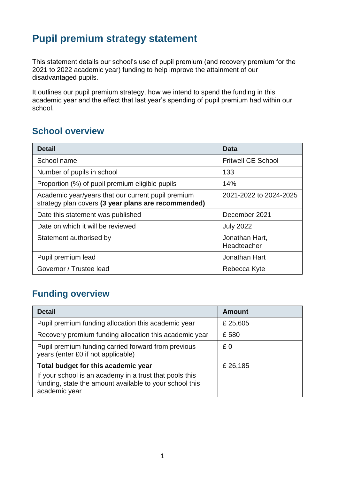## **Pupil premium strategy statement**

This statement details our school's use of pupil premium (and recovery premium for the 2021 to 2022 academic year) funding to help improve the attainment of our disadvantaged pupils.

It outlines our pupil premium strategy, how we intend to spend the funding in this academic year and the effect that last year's spending of pupil premium had within our school.

#### **School overview**

| <b>Detail</b>                                                                                             | Data                          |
|-----------------------------------------------------------------------------------------------------------|-------------------------------|
| School name                                                                                               | <b>Fritwell CE School</b>     |
| Number of pupils in school                                                                                | 133                           |
| Proportion (%) of pupil premium eligible pupils                                                           | 14%                           |
| Academic year/years that our current pupil premium<br>strategy plan covers (3 year plans are recommended) | 2021-2022 to 2024-2025        |
| Date this statement was published                                                                         | December 2021                 |
| Date on which it will be reviewed                                                                         | <b>July 2022</b>              |
| Statement authorised by                                                                                   | Jonathan Hart,<br>Headteacher |
| Pupil premium lead                                                                                        | Jonathan Hart                 |
| Governor / Trustee lead                                                                                   | Rebecca Kyte                  |

### **Funding overview**

| <b>Detail</b>                                                                                                                       | <b>Amount</b> |
|-------------------------------------------------------------------------------------------------------------------------------------|---------------|
| Pupil premium funding allocation this academic year                                                                                 | £25,605       |
| Recovery premium funding allocation this academic year                                                                              | £580          |
| Pupil premium funding carried forward from previous<br>years (enter £0 if not applicable)                                           | £0            |
| Total budget for this academic year                                                                                                 | £ 26,185      |
| If your school is an academy in a trust that pools this<br>funding, state the amount available to your school this<br>academic year |               |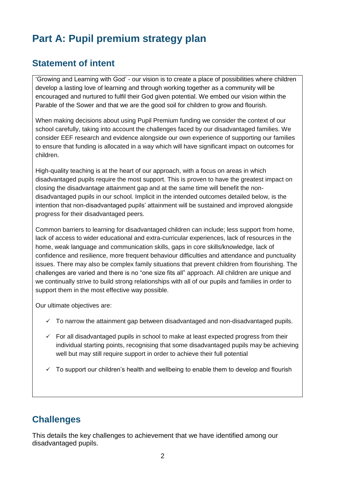# **Part A: Pupil premium strategy plan**

#### **Statement of intent**

'Growing and Learning with God' - our vision is to create a place of possibilities where children develop a lasting love of learning and through working together as a community will be encouraged and nurtured to fulfil their God given potential. We embed our vision within the Parable of the Sower and that we are the good soil for children to grow and flourish.

When making decisions about using Pupil Premium funding we consider the context of our school carefully, taking into account the challenges faced by our disadvantaged families. We consider EEF research and evidence alongside our own experience of supporting our families to ensure that funding is allocated in a way which will have significant impact on outcomes for children.

High-quality teaching is at the heart of our approach, with a focus on areas in which disadvantaged pupils require the most support. This is proven to have the greatest impact on closing the disadvantage attainment gap and at the same time will benefit the nondisadvantaged pupils in our school. Implicit in the intended outcomes detailed below, is the intention that non-disadvantaged pupils' attainment will be sustained and improved alongside progress for their disadvantaged peers.

Common barriers to learning for disadvantaged children can include; less support from home, lack of access to wider educational and extra-curricular experiences, lack of resources in the home, weak language and communication skills, gaps in core skills/knowledge, lack of confidence and resilience, more frequent behaviour difficulties and attendance and punctuality issues. There may also be complex family situations that prevent children from flourishing. The challenges are varied and there is no "one size fits all" approach. All children are unique and we continually strive to build strong relationships with all of our pupils and families in order to support them in the most effective way possible.

Our ultimate objectives are:

- $\checkmark$  To narrow the attainment gap between disadvantaged and non-disadvantaged pupils.
- $\checkmark$  For all disadvantaged pupils in school to make at least expected progress from their individual starting points, recognising that some disadvantaged pupils may be achieving well but may still require support in order to achieve their full potential
- $\checkmark$  To support our children's health and wellbeing to enable them to develop and flourish

#### **Challenges**

This details the key challenges to achievement that we have identified among our disadvantaged pupils.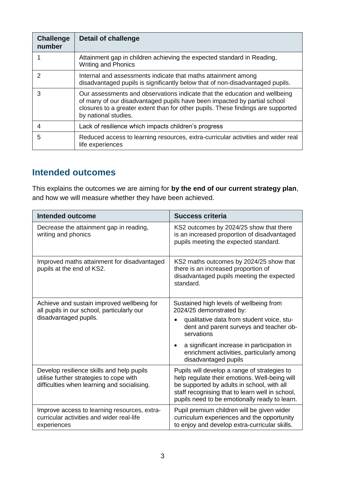| <b>Challenge</b><br>number | <b>Detail of challenge</b>                                                                                                                                                                                                                                         |
|----------------------------|--------------------------------------------------------------------------------------------------------------------------------------------------------------------------------------------------------------------------------------------------------------------|
|                            | Attainment gap in children achieving the expected standard in Reading,<br><b>Writing and Phonics</b>                                                                                                                                                               |
| 2                          | Internal and assessments indicate that maths attainment among<br>disadvantaged pupils is significantly below that of non-disadvantaged pupils.                                                                                                                     |
| 3                          | Our assessments and observations indicate that the education and wellbeing<br>of many of our disadvantaged pupils have been impacted by partial school<br>closures to a greater extent than for other pupils. These findings are supported<br>by national studies. |
| 4                          | Lack of resilience which impacts children's progress                                                                                                                                                                                                               |
| 5                          | Reduced access to learning resources, extra-curricular activities and wider real<br>life experiences                                                                                                                                                               |

#### **Intended outcomes**

This explains the outcomes we are aiming for **by the end of our current strategy plan**, and how we will measure whether they have been achieved.

| <b>Intended outcome</b>                                                                                                             | <b>Success criteria</b>                                                                                                                                                                                                                         |
|-------------------------------------------------------------------------------------------------------------------------------------|-------------------------------------------------------------------------------------------------------------------------------------------------------------------------------------------------------------------------------------------------|
| Decrease the attainment gap in reading,<br>writing and phonics                                                                      | KS2 outcomes by 2024/25 show that there<br>is an increased proportion of disadvantaged<br>pupils meeting the expected standard.                                                                                                                 |
| Improved maths attainment for disadvantaged<br>pupils at the end of KS2.                                                            | KS2 maths outcomes by 2024/25 show that<br>there is an increased proportion of<br>disadvantaged pupils meeting the expected<br>standard.                                                                                                        |
| Achieve and sustain improved wellbeing for<br>all pupils in our school, particularly our                                            | Sustained high levels of wellbeing from<br>2024/25 demonstrated by:                                                                                                                                                                             |
| disadvantaged pupils.                                                                                                               | qualitative data from student voice, stu-<br>dent and parent surveys and teacher ob-<br>servations                                                                                                                                              |
|                                                                                                                                     | a significant increase in participation in<br>$\bullet$<br>enrichment activities, particularly among<br>disadvantaged pupils                                                                                                                    |
| Develop resilience skills and help pupils<br>utilise further strategies to cope with<br>difficulties when learning and socialising. | Pupils will develop a range of strategies to<br>help regulate their emotions. Well-being will<br>be supported by adults in school, with all<br>staff recognising that to learn well in school,<br>pupils need to be emotionally ready to learn. |
| Improve access to learning resources, extra-<br>curricular activities and wider real-life<br>experiences                            | Pupil premium children will be given wider<br>curriculum experiences and the opportunity<br>to enjoy and develop extra-curricular skills.                                                                                                       |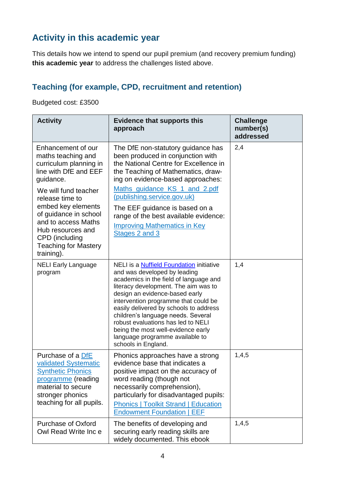## **Activity in this academic year**

This details how we intend to spend our pupil premium (and recovery premium funding) **this academic year** to address the challenges listed above.

#### **Teaching (for example, CPD, recruitment and retention)**

Budgeted cost: £3500

| <b>Activity</b>                                                                                                                                                                                                                                                                                               | <b>Evidence that supports this</b><br>approach                                                                                                                                                                                                                                                                                                                                                                                                                    | <b>Challenge</b><br>number(s)<br>addressed |
|---------------------------------------------------------------------------------------------------------------------------------------------------------------------------------------------------------------------------------------------------------------------------------------------------------------|-------------------------------------------------------------------------------------------------------------------------------------------------------------------------------------------------------------------------------------------------------------------------------------------------------------------------------------------------------------------------------------------------------------------------------------------------------------------|--------------------------------------------|
| Enhancement of our<br>maths teaching and<br>curriculum planning in<br>line with DfE and EEF<br>quidance.<br>We will fund teacher<br>release time to<br>embed key elements<br>of guidance in school<br>and to access Maths<br>Hub resources and<br>CPD (including<br><b>Teaching for Mastery</b><br>training). | The DfE non-statutory guidance has<br>been produced in conjunction with<br>the National Centre for Excellence in<br>the Teaching of Mathematics, draw-<br>ing on evidence-based approaches:<br>Maths_quidance_KS_1_and_2.pdf<br>(publishing.service.gov.uk)<br>The EEF guidance is based on a<br>range of the best available evidence:<br><b>Improving Mathematics in Key</b><br>Stages 2 and 3                                                                   | 2,4                                        |
| <b>NELI Early Language</b><br>program                                                                                                                                                                                                                                                                         | <b>NELI</b> is a Nuffield Foundation initiative<br>and was developed by leading<br>academics in the field of language and<br>literacy development. The aim was to<br>design an evidence-based early<br>intervention programme that could be<br>easily delivered by schools to address<br>children's language needs. Several<br>robust evaluations has led to NELI<br>being the most well-evidence early<br>language programme available to<br>schools in England. | 1,4                                        |
| Purchase of a DfE<br>validated Systematic<br><b>Synthetic Phonics</b><br>programme (reading<br>material to secure<br>stronger phonics<br>teaching for all pupils.                                                                                                                                             | Phonics approaches have a strong<br>evidence base that indicates a<br>positive impact on the accuracy of<br>word reading (though not<br>necessarily comprehension),<br>particularly for disadvantaged pupils:<br><b>Phonics   Toolkit Strand   Education</b><br><b>Endowment Foundation   EEF</b>                                                                                                                                                                 | 1,4,5                                      |
| <b>Purchase of Oxford</b><br>Owl Read Write Inc e                                                                                                                                                                                                                                                             | The benefits of developing and<br>securing early reading skills are<br>widely documented. This ebook                                                                                                                                                                                                                                                                                                                                                              | 1,4,5                                      |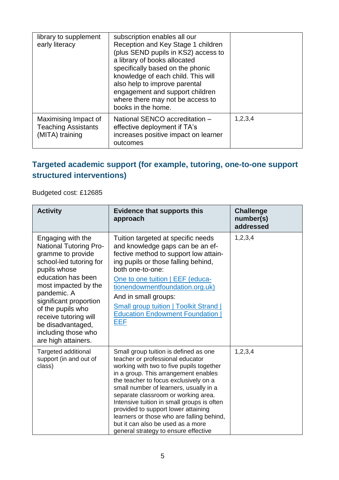| library to supplement<br>early literacy                               | subscription enables all our<br>Reception and Key Stage 1 children<br>(plus SEND pupils in KS2) access to<br>a library of books allocated<br>specifically based on the phonic<br>knowledge of each child. This will<br>also help to improve parental<br>engagement and support children<br>where there may not be access to<br>books in the home. |         |
|-----------------------------------------------------------------------|---------------------------------------------------------------------------------------------------------------------------------------------------------------------------------------------------------------------------------------------------------------------------------------------------------------------------------------------------|---------|
| Maximising Impact of<br><b>Teaching Assistants</b><br>(MITA) training | National SENCO accreditation -<br>effective deployment if TA's<br>increases positive impact on learner<br>outcomes                                                                                                                                                                                                                                | 1,2,3,4 |

#### **Targeted academic support (for example, tutoring, one-to-one support structured interventions)**

#### Budgeted cost: £12685

| <b>Activity</b>                                                                                                                                                                                                                                                                                                            | <b>Evidence that supports this</b><br>approach                                                                                                                                                                                                                                                                                                                                                                                                                                                         | <b>Challenge</b><br>number(s)<br>addressed |
|----------------------------------------------------------------------------------------------------------------------------------------------------------------------------------------------------------------------------------------------------------------------------------------------------------------------------|--------------------------------------------------------------------------------------------------------------------------------------------------------------------------------------------------------------------------------------------------------------------------------------------------------------------------------------------------------------------------------------------------------------------------------------------------------------------------------------------------------|--------------------------------------------|
| Engaging with the<br><b>National Tutoring Pro-</b><br>gramme to provide<br>school-led tutoring for<br>pupils whose<br>education has been<br>most impacted by the<br>pandemic. A<br>significant proportion<br>of the pupils who<br>receive tutoring will<br>be disadvantaged,<br>including those who<br>are high attainers. | Tuition targeted at specific needs<br>and knowledge gaps can be an ef-<br>fective method to support low attain-<br>ing pupils or those falling behind,<br>both one-to-one:<br>One to one tuition   EEF (educa-<br>tionendowmentfoundation.org.uk)<br>And in small groups:<br><b>Small group tuition   Toolkit Strand  </b><br><b>Education Endowment Foundation</b><br>EEF                                                                                                                             | 1, 2, 3, 4                                 |
| <b>Targeted additional</b><br>support (in and out of<br>class)                                                                                                                                                                                                                                                             | Small group tuition is defined as one<br>teacher or professional educator<br>working with two to five pupils together<br>in a group. This arrangement enables<br>the teacher to focus exclusively on a<br>small number of learners, usually in a<br>separate classroom or working area.<br>Intensive tuition in small groups is often<br>provided to support lower attaining<br>learners or those who are falling behind,<br>but it can also be used as a more<br>general strategy to ensure effective | 1, 2, 3, 4                                 |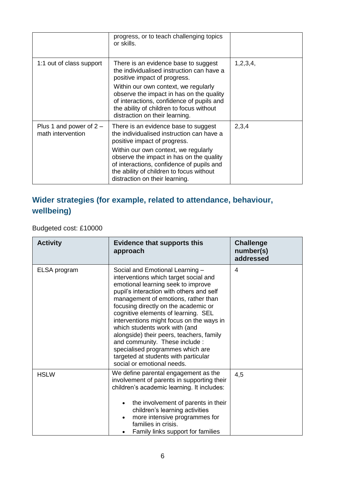|                                                | progress, or to teach challenging topics<br>or skills.                                                                                                                                                                                                                                                                           |          |
|------------------------------------------------|----------------------------------------------------------------------------------------------------------------------------------------------------------------------------------------------------------------------------------------------------------------------------------------------------------------------------------|----------|
| 1:1 out of class support                       | There is an evidence base to suggest<br>the individualised instruction can have a<br>positive impact of progress.<br>Within our own context, we regularly<br>observe the impact in has on the quality<br>of interactions, confidence of pupils and<br>the ability of children to focus without<br>distraction on their learning. | 1,2,3,4, |
| Plus 1 and power of $2 -$<br>math intervention | There is an evidence base to suggest<br>the individualised instruction can have a<br>positive impact of progress.<br>Within our own context, we regularly<br>observe the impact in has on the quality<br>of interactions, confidence of pupils and<br>the ability of children to focus without<br>distraction on their learning. | 2,3,4    |

### **Wider strategies (for example, related to attendance, behaviour, wellbeing)**

Budgeted cost: £10000

| <b>Activity</b> | <b>Evidence that supports this</b><br>approach                                                                                                                                                                                                                                                                                                                                                                                                                                                                                                        | <b>Challenge</b><br>number(s)<br>addressed |
|-----------------|-------------------------------------------------------------------------------------------------------------------------------------------------------------------------------------------------------------------------------------------------------------------------------------------------------------------------------------------------------------------------------------------------------------------------------------------------------------------------------------------------------------------------------------------------------|--------------------------------------------|
| ELSA program    | Social and Emotional Learning -<br>interventions which target social and<br>emotional learning seek to improve<br>pupil's interaction with others and self<br>management of emotions, rather than<br>focusing directly on the academic or<br>cognitive elements of learning. SEL<br>interventions might focus on the ways in<br>which students work with (and<br>alongside) their peers, teachers, family<br>and community. These include :<br>specialised programmes which are<br>targeted at students with particular<br>social or emotional needs. | 4                                          |
| <b>HSLW</b>     | We define parental engagement as the<br>involvement of parents in supporting their<br>children's academic learning. It includes:<br>the involvement of parents in their<br>children's learning activities<br>more intensive programmes for<br>families in crisis.<br>Family links support for families                                                                                                                                                                                                                                                | 4,5                                        |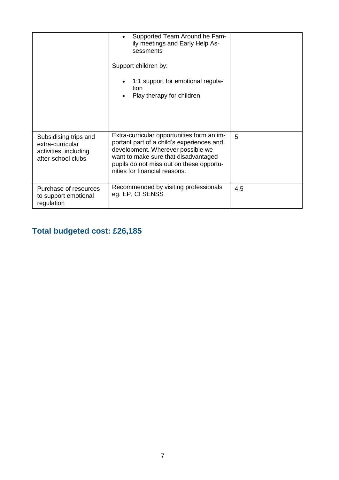|                                                                                          | Supported Team Around he Fam-<br>$\bullet$<br>ily meetings and Early Help As-<br>sessments<br>Support children by:<br>1:1 support for emotional regula-<br>tion<br>Play therapy for children                                                      |     |
|------------------------------------------------------------------------------------------|---------------------------------------------------------------------------------------------------------------------------------------------------------------------------------------------------------------------------------------------------|-----|
| Subsidising trips and<br>extra-curricular<br>activities, including<br>after-school clubs | Extra-curricular opportunities form an im-<br>portant part of a child's experiences and<br>development. Wherever possible we<br>want to make sure that disadvantaged<br>pupils do not miss out on these opportu-<br>nities for financial reasons. | 5   |
| Purchase of resources<br>to support emotional<br>regulation                              | Recommended by visiting professionals<br>eg. EP, CI SENSS                                                                                                                                                                                         | 4,5 |

## **Total budgeted cost: £26,185**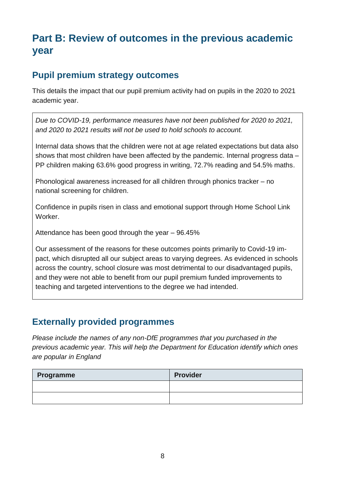## **Part B: Review of outcomes in the previous academic year**

#### **Pupil premium strategy outcomes**

This details the impact that our pupil premium activity had on pupils in the 2020 to 2021 academic year.

*Due to COVID-19, performance measures have not been published for 2020 to 2021, and 2020 to 2021 results will not be used to hold schools to account.* 

Internal data shows that the children were not at age related expectations but data also shows that most children have been affected by the pandemic. Internal progress data – PP children making 63.6% good progress in writing, 72.7% reading and 54.5% maths.

Phonological awareness increased for all children through phonics tracker – no national screening for children.

Confidence in pupils risen in class and emotional support through Home School Link Worker.

Attendance has been good through the year – 96.45%

Our assessment of the reasons for these outcomes points primarily to Covid-19 impact, which disrupted all our subject areas to varying degrees. As evidenced in schools across the country, school closure was most detrimental to our disadvantaged pupils, and they were not able to benefit from our pupil premium funded improvements to teaching and targeted interventions to the degree we had intended.

#### **Externally provided programmes**

*Please include the names of any non-DfE programmes that you purchased in the previous academic year. This will help the Department for Education identify which ones are popular in England*

| Programme | <b>Provider</b> |
|-----------|-----------------|
|           |                 |
|           |                 |